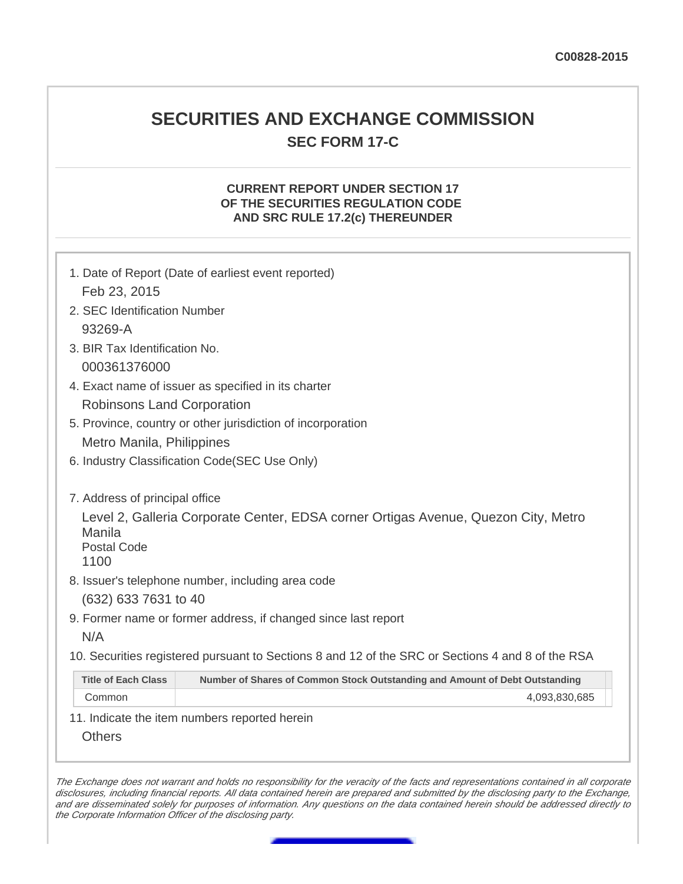# **SECURITIES AND EXCHANGE COMMISSION SEC FORM 17-C**

# **CURRENT REPORT UNDER SECTION 17 OF THE SECURITIES REGULATION CODE AND SRC RULE 17.2(c) THEREUNDER**

| Feb 23, 2015<br>2. SEC Identification Number |                                                                                                   |
|----------------------------------------------|---------------------------------------------------------------------------------------------------|
|                                              |                                                                                                   |
|                                              |                                                                                                   |
| 93269-A                                      |                                                                                                   |
| 3. BIR Tax Identification No.                |                                                                                                   |
| 000361376000                                 |                                                                                                   |
|                                              | 4. Exact name of issuer as specified in its charter                                               |
| <b>Robinsons Land Corporation</b>            |                                                                                                   |
|                                              | 5. Province, country or other jurisdiction of incorporation                                       |
| Metro Manila, Philippines                    |                                                                                                   |
|                                              | 6. Industry Classification Code(SEC Use Only)                                                     |
| Manila<br><b>Postal Code</b><br>1100         | Level 2, Galleria Corporate Center, EDSA corner Ortigas Avenue, Quezon City, Metro                |
|                                              | 8. Issuer's telephone number, including area code                                                 |
| (632) 633 7631 to 40                         |                                                                                                   |
|                                              | 9. Former name or former address, if changed since last report                                    |
| N/A                                          |                                                                                                   |
|                                              | 10. Securities registered pursuant to Sections 8 and 12 of the SRC or Sections 4 and 8 of the RSA |
| <b>Title of Each Class</b>                   | Number of Shares of Common Stock Outstanding and Amount of Debt Outstanding                       |
| Common                                       | 4,093,830,685                                                                                     |

The Exchange does not warrant and holds no responsibility for the veracity of the facts and representations contained in all corporate disclosures, including financial reports. All data contained herein are prepared and submitted by the disclosing party to the Exchange, and are disseminated solely for purposes of information. Any questions on the data contained herein should be addressed directly to the Corporate Information Officer of the disclosing party.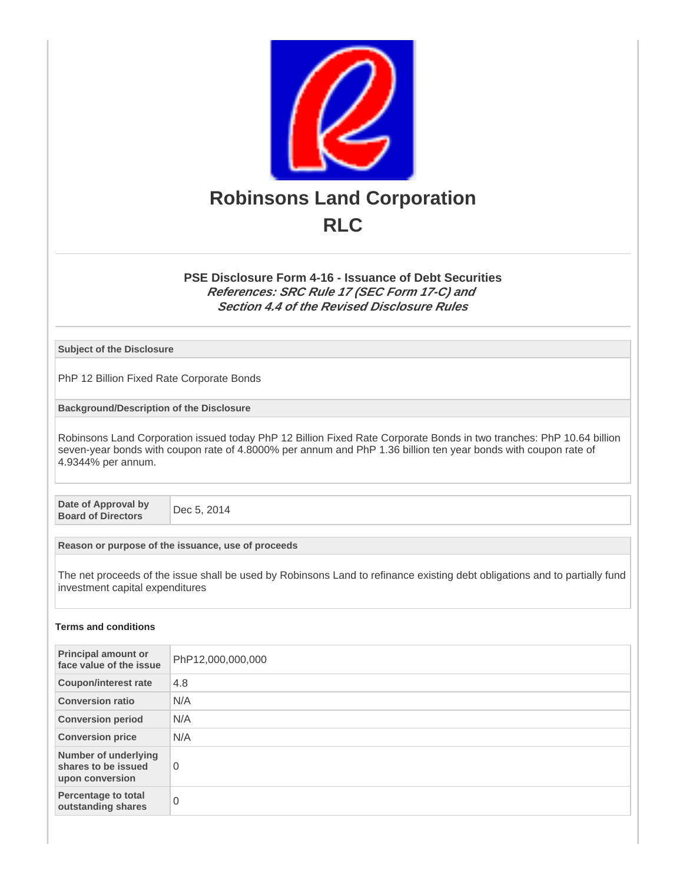

## **PSE Disclosure Form 4-16 - Issuance of Debt Securities References: SRC Rule 17 (SEC Form 17-C) and Section 4.4 of the Revised Disclosure Rules**

**Subject of the Disclosure**

PhP 12 Billion Fixed Rate Corporate Bonds

**Background/Description of the Disclosure**

Robinsons Land Corporation issued today PhP 12 Billion Fixed Rate Corporate Bonds in two tranches: PhP 10.64 billion seven-year bonds with coupon rate of 4.8000% per annum and PhP 1.36 billion ten year bonds with coupon rate of 4.9344% per annum.

**Date of Approval by Board of Directors** Dec 5, 2014

**Reason or purpose of the issuance, use of proceeds**

The net proceeds of the issue shall be used by Robinsons Land to refinance existing debt obligations and to partially fund investment capital expenditures

### **Terms and conditions**

| <b>Principal amount or</b><br>face value of the issue                 | PhP12,000,000,000 |
|-----------------------------------------------------------------------|-------------------|
| <b>Coupon/interest rate</b>                                           | 4.8               |
| <b>Conversion ratio</b>                                               | N/A               |
| <b>Conversion period</b>                                              | N/A               |
| <b>Conversion price</b>                                               | N/A               |
| <b>Number of underlying</b><br>shares to be issued<br>upon conversion | 0                 |
| <b>Percentage to total</b><br>outstanding shares                      | 0                 |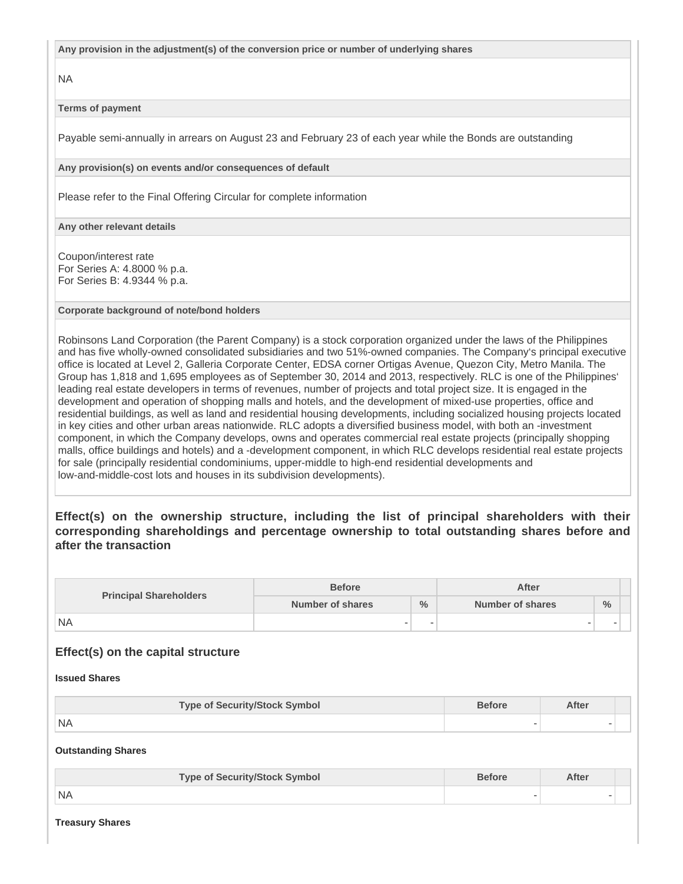**Any provision in the adjustment(s) of the conversion price or number of underlying shares**

NA

## **Terms of payment**

Payable semi-annually in arrears on August 23 and February 23 of each year while the Bonds are outstanding

**Any provision(s) on events and/or consequences of default**

Please refer to the Final Offering Circular for complete information

**Any other relevant details**

Coupon/interest rate For Series A: 4.8000 % p.a. For Series B: 4.9344 % p.a.

### **Corporate background of note/bond holders**

Robinsons Land Corporation (the Parent Company) is a stock corporation organized under the laws of the Philippines and has five wholly-owned consolidated subsidiaries and two 51%-owned companies. The Company's principal executive office is located at Level 2, Galleria Corporate Center, EDSA corner Ortigas Avenue, Quezon City, Metro Manila. The Group has 1,818 and 1,695 employees as of September 30, 2014 and 2013, respectively. RLC is one of the Philippines' leading real estate developers in terms of revenues, number of projects and total project size. It is engaged in the development and operation of shopping malls and hotels, and the development of mixed-use properties, office and residential buildings, as well as land and residential housing developments, including socialized housing projects located in key cities and other urban areas nationwide. RLC adopts a diversified business model, with both an -investment component, in which the Company develops, owns and operates commercial real estate projects (principally shopping malls, office buildings and hotels) and a -development component, in which RLC develops residential real estate projects for sale (principally residential condominiums, upper-middle to high-end residential developments and low-and-middle-cost lots and houses in its subdivision developments).

# **Effect(s) on the ownership structure, including the list of principal shareholders with their corresponding shareholdings and percentage ownership to total outstanding shares before and after the transaction**

| <b>Principal Shareholders</b> | <b>Before</b>    |               | After            |               |  |
|-------------------------------|------------------|---------------|------------------|---------------|--|
|                               | Number of shares | $\frac{0}{0}$ | Number of shares | $\frac{0}{0}$ |  |
| <b>NA</b>                     | $\sim$           |               | $\sim$           |               |  |

## **Effect(s) on the capital structure**

### **Issued Shares**

| <b>Type of Security/Stock Symbol</b> | <b>Before</b> | After |  |
|--------------------------------------|---------------|-------|--|
| <b>INA</b>                           | -             |       |  |

**Outstanding Shares**

| <b>Type of Security/Stock Symbol</b> | <b>Before</b> | After |  |
|--------------------------------------|---------------|-------|--|
| I NA                                 |               |       |  |

**Treasury Shares**